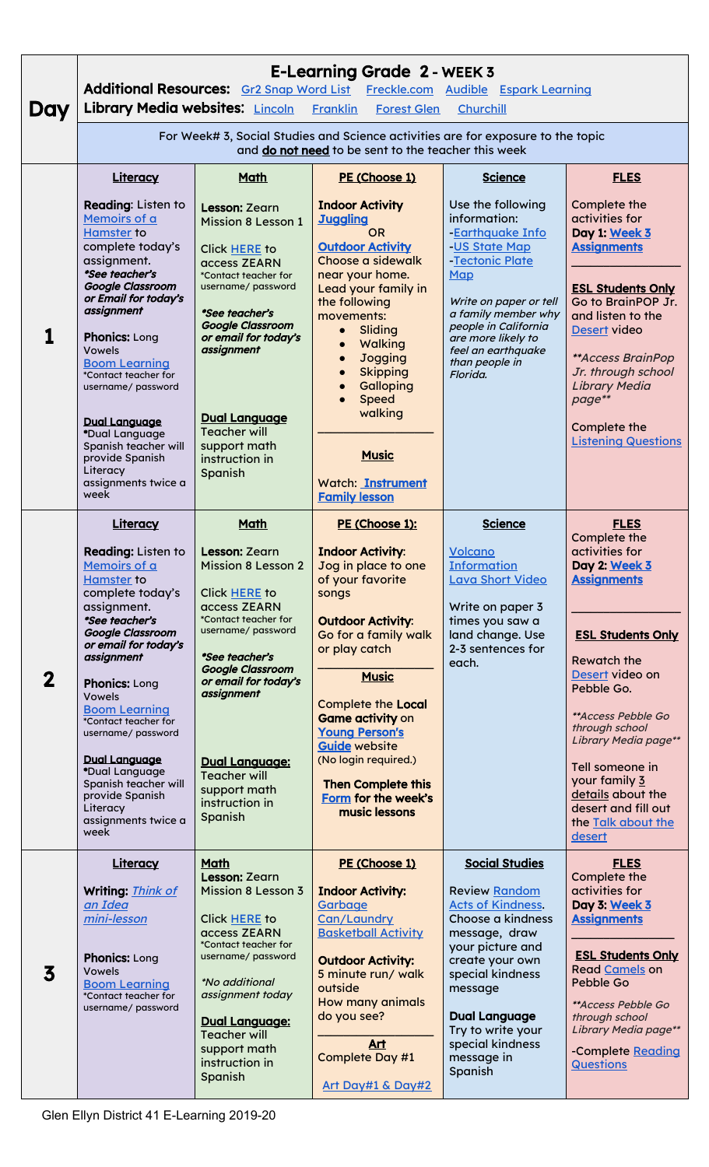| Day         | <b>E-Learning Grade 2 - WEEK 3</b><br>Additional Resources: Gr2 Snap Word List Freckle.com Audible Espark Learning<br>Library Media websites: Lincoln<br><b>Franklin</b><br><b>Forest Glen</b><br>Churchill                                                                                                                                                                                                                                             |                                                                                                                                                                                                                                                                                                                                |                                                                                                                                                                                                                                                                                                                                                                                                                  |                                                                                                                                                                                                                                                                                 |                                                                                                                                                                                                                                                                                                                                                                |  |  |
|-------------|---------------------------------------------------------------------------------------------------------------------------------------------------------------------------------------------------------------------------------------------------------------------------------------------------------------------------------------------------------------------------------------------------------------------------------------------------------|--------------------------------------------------------------------------------------------------------------------------------------------------------------------------------------------------------------------------------------------------------------------------------------------------------------------------------|------------------------------------------------------------------------------------------------------------------------------------------------------------------------------------------------------------------------------------------------------------------------------------------------------------------------------------------------------------------------------------------------------------------|---------------------------------------------------------------------------------------------------------------------------------------------------------------------------------------------------------------------------------------------------------------------------------|----------------------------------------------------------------------------------------------------------------------------------------------------------------------------------------------------------------------------------------------------------------------------------------------------------------------------------------------------------------|--|--|
|             | For Week# 3, Social Studies and Science activities are for exposure to the topic<br>and do not need to be sent to the teacher this week                                                                                                                                                                                                                                                                                                                 |                                                                                                                                                                                                                                                                                                                                |                                                                                                                                                                                                                                                                                                                                                                                                                  |                                                                                                                                                                                                                                                                                 |                                                                                                                                                                                                                                                                                                                                                                |  |  |
|             | Literacy<br>Reading: Listen to<br>Memoirs of a<br><b>Hamster to</b><br>complete today's<br>assignment.<br>*See teacher's<br><b>Google Classroom</b><br>or Email for today's<br>assignment<br><b>Phonics: Long</b><br><b>Vowels</b><br><b>Boom Learning</b><br>*Contact teacher for<br>username/ password<br><b>Dual Language</b><br>*Dual Language<br>Spanish teacher will<br>provide Spanish<br>Literacy<br>assignments twice a                        | <b>Math</b><br><b>Lesson: Zearn</b><br><b>Mission 8 Lesson 1</b><br>Click HERE to<br>access ZEARN<br>*Contact teacher for<br>username/ password<br>*See teacher's<br><b>Google Classroom</b><br>or email for today's<br>assignment<br><b>Dual Language</b><br><b>Teacher will</b><br>support math<br>instruction in<br>Spanish | PE (Choose 1)<br><b>Indoor Activity</b><br><b>Juggling</b><br><b>OR</b><br><b>Outdoor Activity</b><br>Choose a sidewalk<br>near your home.<br>Lead your family in<br>the following<br>movements:<br>Sliding<br>$\bullet$<br><b>Walking</b><br><b>Jogging</b><br><b>Skipping</b><br>Galloping<br><b>Speed</b><br>walking<br><b>Music</b><br><b>Watch: Instrument</b>                                              | <b>Science</b><br>Use the following<br>information:<br><b>Earthquake Info</b><br>US State Map<br>Tectonic Plate<br>Map<br>Write on paper or tell<br>a family member why<br>people in California<br>are more likely to<br>feel an earthquake<br>than people in<br>Florida.       | <b>FLES</b><br>Complete the<br>activities for<br>Day 1: Week 3<br><b>Assignments</b><br><b>ESL Students Only</b><br>Go to BrainPOP Jr.<br>and listen to the<br>Desert video<br><b>**Access BrainPop</b><br>Jr. through school<br><b>Library Media</b><br>page**<br>Complete the<br><b>Listening Questions</b>                                                  |  |  |
| $\mathbf 2$ | week<br>Literacy<br><b>Reading: Listen to</b><br>Memoirs of a<br><b>Hamster</b> to<br>complete today's<br>assignment.<br>*See teacher's<br><b>Google Classroom</b><br>or email for today's<br>assignment<br><b>Phonics: Long</b><br><b>Vowels</b><br><b>Boom Learning</b><br>*Contact teacher for<br>username/ password<br><b>Dual Language</b><br>*Dual Language<br>Spanish teacher will<br>provide Spanish<br>Literacy<br>assignments twice a<br>week | <b>Math</b><br>Lesson: Zearn<br><b>Mission 8 Lesson 2</b><br>Click HERE to<br>access ZEARN<br>*Contact teacher for<br>username/ password<br>*See teacher's<br><b>Google Classroom</b><br>or email for today's<br>assignment<br>Dual Language:<br><b>Teacher will</b><br>support math<br>instruction in<br>Spanish              | <b>Family lesson</b><br>PE (Choose 1):<br><b>Indoor Activity:</b><br>Jog in place to one<br>of your favorite<br>songs<br><b>Outdoor Activity:</b><br>Go for a family walk<br>or play catch<br><b>Music</b><br><b>Complete the Local</b><br><b>Game activity on</b><br><b>Young Person's</b><br><b>Guide website</b><br>(No login required.)<br><b>Then Complete this</b><br>Form for the week's<br>music lessons | <b>Science</b><br><b>Volcano</b><br><b>Information</b><br><b>Lava Short Video</b><br>Write on paper 3<br>times you saw a<br>land change. Use<br>2-3 sentences for<br>each.                                                                                                      | <b>FLES</b><br>Complete the<br>activities for<br>Day 2: Week 3<br><b>Assignments</b><br><b>ESL Students Only</b><br><b>Rewatch the</b><br>Desert video on<br>Pebble Go.<br><i>**Access Pebble Go</i><br>through school<br>Library Media page**<br>Tell someone in<br>your family 3<br>details about the<br>desert and fill out<br>the Talk about the<br>desert |  |  |
| 3           | <b>Literacy</b><br>Writing: Think of<br>an Idea<br>mini-lesson<br><b>Phonics: Long</b><br><b>Vowels</b><br><b>Boom Learning</b><br>*Contact teacher for<br>username/ password                                                                                                                                                                                                                                                                           | <b>Math</b><br>Lesson: Zearn<br><b>Mission 8 Lesson 3</b><br>Click HERE to<br>access ZEARN<br>*Contact teacher for<br>username/ password<br><i>*No additional</i><br>assignment today<br><b>Dual Language:</b><br><b>Teacher will</b><br>support math<br>instruction in<br>Spanish                                             | PE (Choose 1)<br><b>Indoor Activity:</b><br>Garbage<br>Can/Laundry<br><b>Basketball Activity</b><br><b>Outdoor Activity:</b><br>5 minute run/ walk<br>outside<br>How many animals<br>do you see?<br>Art<br>Complete Day #1<br>Art Day#1 & Day#2                                                                                                                                                                  | <b>Social Studies</b><br><b>Review Random</b><br><b>Acts of Kindness.</b><br>Choose a kindness<br>message, draw<br>your picture and<br>create your own<br>special kindness<br>message<br><b>Dual Language</b><br>Try to write your<br>special kindness<br>message in<br>Spanish | <b>FLES</b><br>Complete the<br>activities for<br>Day 3: Week 3<br><b>Assignments</b><br><b>ESL Students Only</b><br>Read Camels on<br><b>Pebble Go</b><br><i>**Access Pebble Go</i><br>through school<br>Library Media page**<br>-Complete Reading<br><b>Questions</b>                                                                                         |  |  |